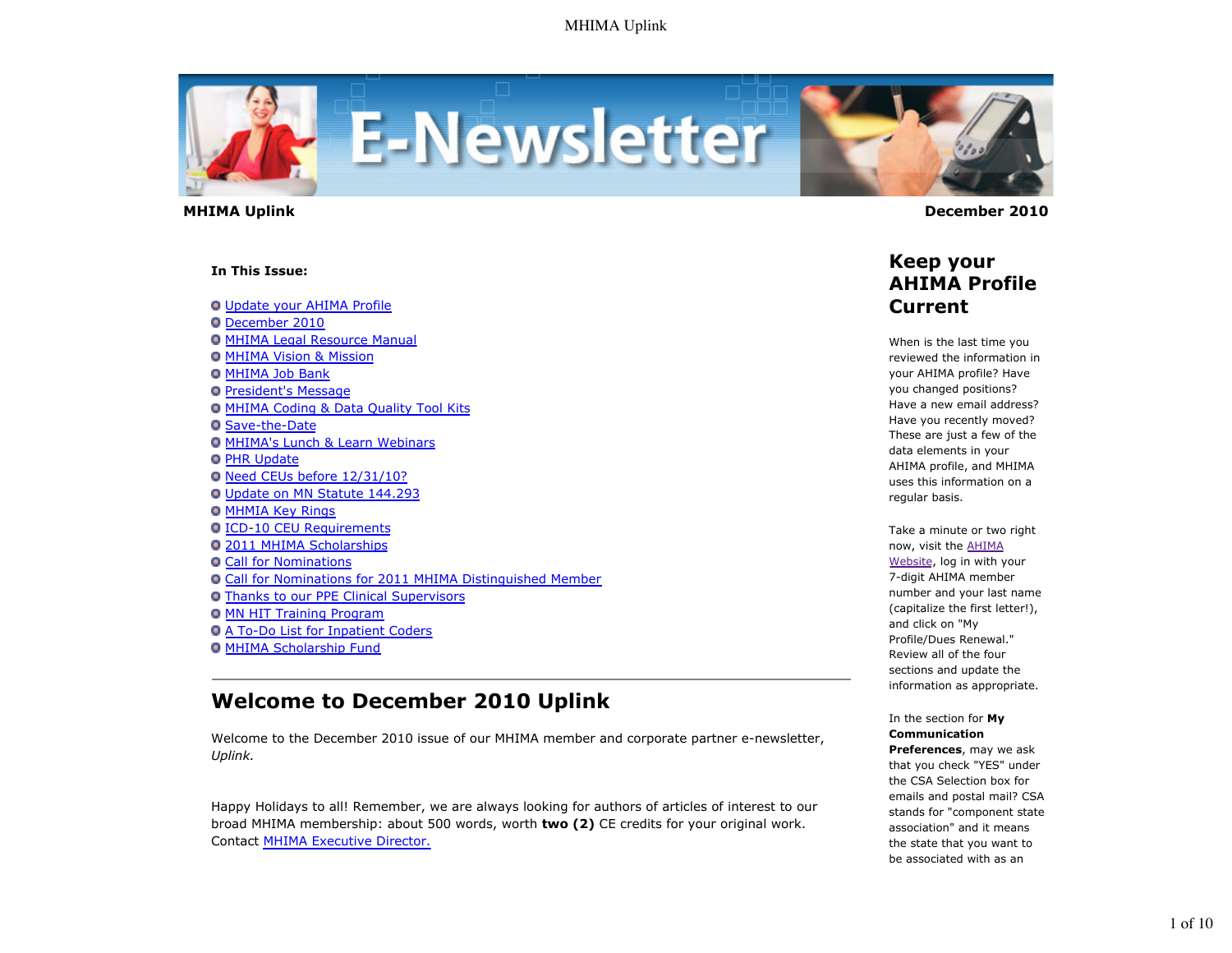

#### **In This Issue:**

Update your AHIMA Profile

- December 2010
- **O MHIMA Legal Resource Manual**
- **O MHIMA Vision & Mission**
- **O MHIMA Job Bank**
- **President's Message**
- MHIMA Coding & Data Quality Tool Kits
- **O** Save-the-Date
- MHIMA's Lunch & Learn Webinars
- **O PHR Update**
- O Need CEUs before 12/31/10?
- Update on MN Statute 144.293
- **O MHMIA Key Rings**
- ICD-10 CEU Requirements
- 2011 MHIMA Scholarships
- Call for Nominations
- Call for Nominations for 2011 MHIMA Distinguished Member
- Thanks to our PPE Clinical Supervisors
- **O MN HIT Training Program**
- A To-Do List for Inpatient Coders
- **O MHIMA Scholarship Fund**

## **Welcome to December 2010 Uplink**

Welcome to the December 2010 issue of our MHIMA member and corporate partner e-newsletter, *Uplink.*

Happy Holidays to all! Remember, we are always looking for authors of articles of interest to our broad MHIMA membership: about 500 words, worth **two (2)** CE credits for your original work. Contact MHIMA Executive Director.

 **MHIMA Uplink December 2010** 

### **Keep your AHIMA Profile Current**

When is the last time you reviewed the information in your AHIMA profile? Have you changed positions? Have a new email address? Have you recently moved? These are just a few of the data elements in your AHIMA profile, and MHIMA uses this information on a regular basis.

Take a minute or two right now, visit the AHIMA Website, log in with your 7-digit AHIMA member number and your last name (capitalize the first letter!), and click on "My Profile/Dues Renewal." Review all of the four sections and update the information as appropriate.

#### In the section for **My Communication Preferences**, may we ask that you check "YES" under the CSA Selection box for emails and postal mail? CSA stands for "component state

association" and it means the state that you want to be associated with as an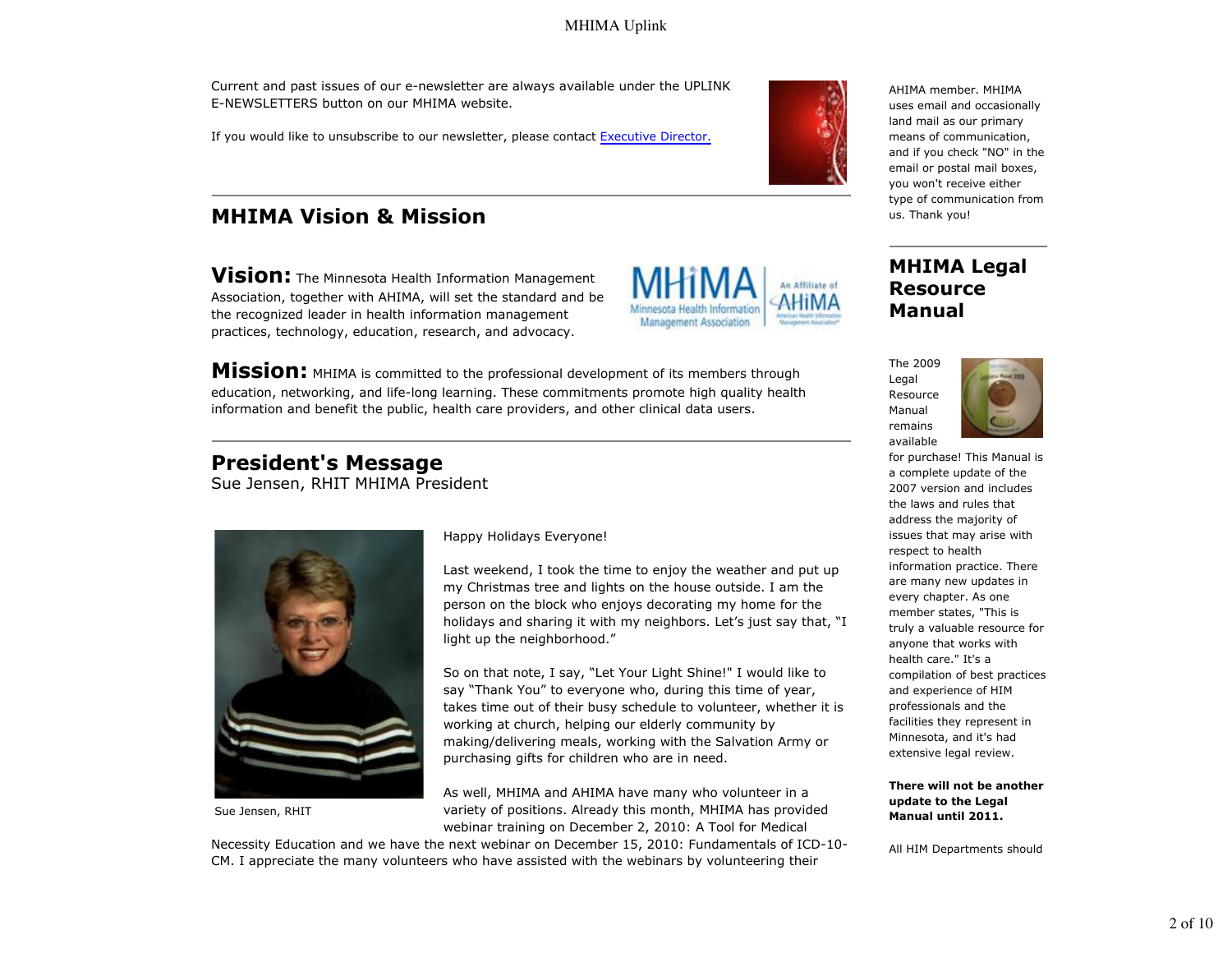Current and past issues of our e-newsletter are always available under the UPLINK E-NEWSLETTERS button on our MHIMA website.

If you would like to unsubscribe to our newsletter, please contact Executive Director.

# **MHIMA Vision & Mission**

**Vision:** The Minnesota Health Information Management Association, together with AHIMA, will set the standard and be the recognized leader in health information management practices, technology, education, research, and advocacy.

**Mission:** MHIMA is committed to the professional development of its members through education, networking, and life-long learning. These commitments promote high quality health information and benefit the public, health care providers, and other clinical data users.

# **President's Message**

Sue Jensen, RHIT MHIMA President



Sue Jensen, RHIT

Happy Holidays Everyone!

Last weekend, I took the time to enjoy the weather and put up my Christmas tree and lights on the house outside. I am the person on the block who enjoys decorating my home for the holidays and sharing it with my neighbors. Let's just say that, "I light up the neighborhood."

Management Association

So on that note, I say, "Let Your Light Shine!" I would like to say "Thank You" to everyone who, during this time of year, takes time out of their busy schedule to volunteer, whether it is working at church, helping our elderly community by making/delivering meals, working with the Salvation Army or purchasing gifts for children who are in need.

As well, MHIMA and AHIMA have many who volunteer in a variety of positions. Already this month, MHIMA has provided webinar training on December 2, 2010: A Tool for Medical

Necessity Education and we have the next webinar on December 15, 2010: Fundamentals of ICD-10- CM. I appreciate the many volunteers who have assisted with the webinars by volunteering their



AHIMA member. MHIMA uses email and occasionally land mail as our primary means of communication, and if you check "NO" in the email or postal mail boxes, you won't receive either type of communication from us. Thank you!

#### **MHIMA Legal Resource Manual**





for purchase! This Manual is a complete update of the 2007 version and includes the laws and rules that address the majority of issues that may arise with respect to health information practice. There are many new updates in every chapter. As one member states, "This is truly a valuable resource for anyone that works with health care." It's a compilation of best practices and experience of HIM professionals and the facilities they represent in Minnesota, and it's had extensive legal review.

**There will not be another update to the Legal Manual until 2011.**

All HIM Departments should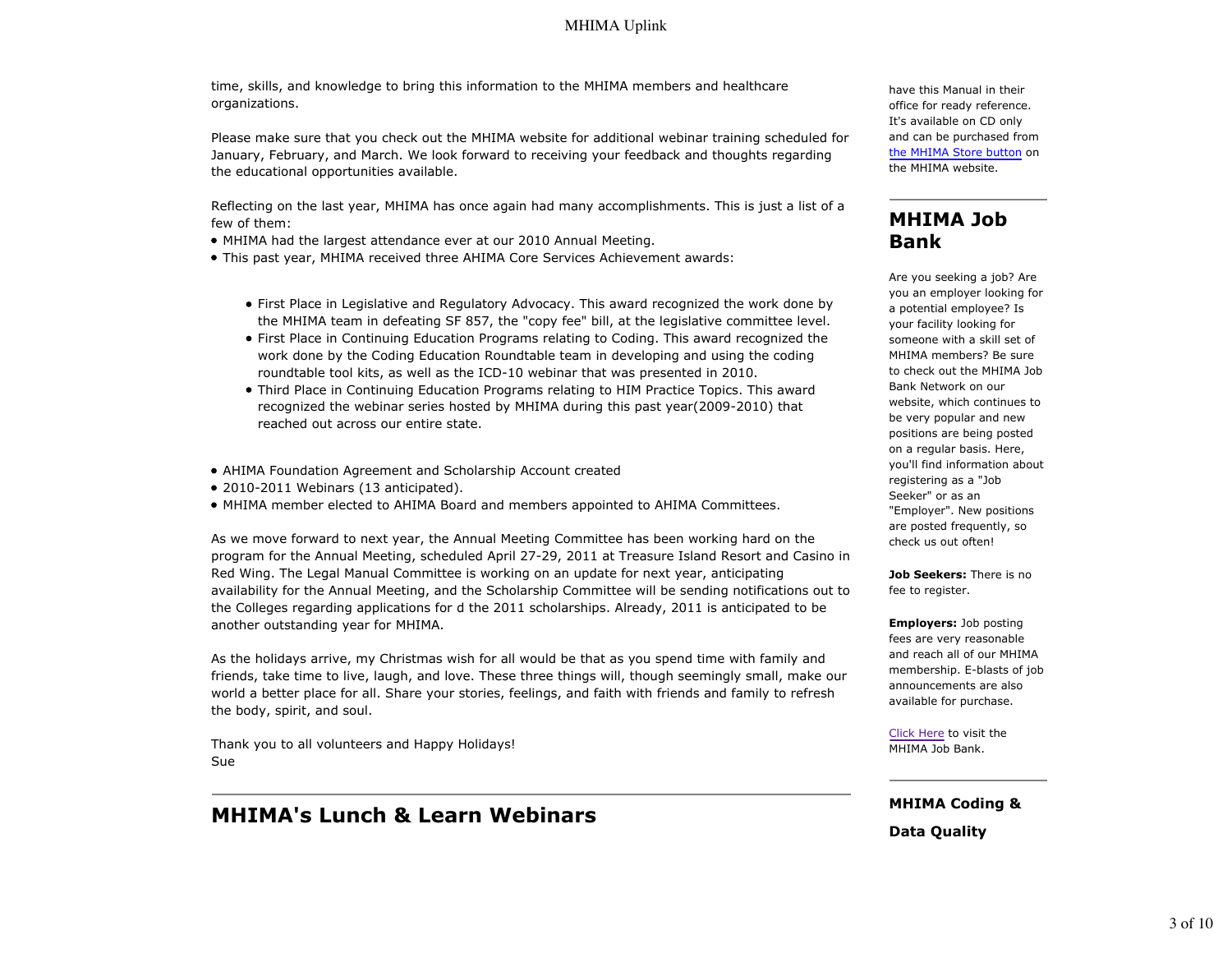time, skills, and knowledge to bring this information to the MHIMA members and healthcare organizations.

Please make sure that you check out the MHIMA website for additional webinar training scheduled for January, February, and March. We look forward to receiving your feedback and thoughts regarding the educational opportunities available.

Reflecting on the last year, MHIMA has once again had many accomplishments. This is just a list of a few of them:

- MHIMA had the largest attendance ever at our 2010 Annual Meeting.
- This past year, MHIMA received three AHIMA Core Services Achievement awards:
	- First Place in Legislative and Regulatory Advocacy. This award recognized the work done by the MHIMA team in defeating SF 857, the "copy fee" bill, at the legislative committee level.
	- First Place in Continuing Education Programs relating to Coding. This award recognized the work done by the Coding Education Roundtable team in developing and using the coding roundtable tool kits, as well as the ICD-10 webinar that was presented in 2010.
	- Third Place in Continuing Education Programs relating to HIM Practice Topics. This award recognized the webinar series hosted by MHIMA during this past year(2009-2010) that reached out across our entire state.
- AHIMA Foundation Agreement and Scholarship Account created
- 2010-2011 Webinars (13 anticipated).
- MHIMA member elected to AHIMA Board and members appointed to AHIMA Committees.

As we move forward to next year, the Annual Meeting Committee has been working hard on the program for the Annual Meeting, scheduled April 27-29, 2011 at Treasure Island Resort and Casino in Red Wing. The Legal Manual Committee is working on an update for next year, anticipating availability for the Annual Meeting, and the Scholarship Committee will be sending notifications out to the Colleges regarding applications for d the 2011 scholarships. Already, 2011 is anticipated to be another outstanding year for MHIMA.

As the holidays arrive, my Christmas wish for all would be that as you spend time with family and friends, take time to live, laugh, and love. These three things will, though seemingly small, make our world a better place for all. Share your stories, feelings, and faith with friends and family to refresh the body, spirit, and soul.

Thank you to all volunteers and Happy Holidays! Sue

## **MHIMA's Lunch & Learn Webinars**

have this Manual in their office for ready reference. It's available on CD only and can be purchased from the MHIMA Store button on the MHIMA website.

## **MHIMA Job Bank**

Are you seeking a job? Are you an employer looking for a potential employee? Is your facility looking for someone with a skill set of MHIMA members? Be sure to check out the MHIMA Job Bank Network on our website, which continues to be very popular and new positions are being posted on a regular basis. Here, you'll find information about registering as a "Job Seeker" or as an "Employer". New positions are posted frequently, so check us out often!

**Job Seekers:** There is no fee to register.

**Employers:** Job posting fees are very reasonable and reach all of our MHIMA membership. E-blasts of job announcements are also available for purchase.

Click Here to visit the MHIMA Job Bank.

#### **MHIMA Coding &**

**Data Quality**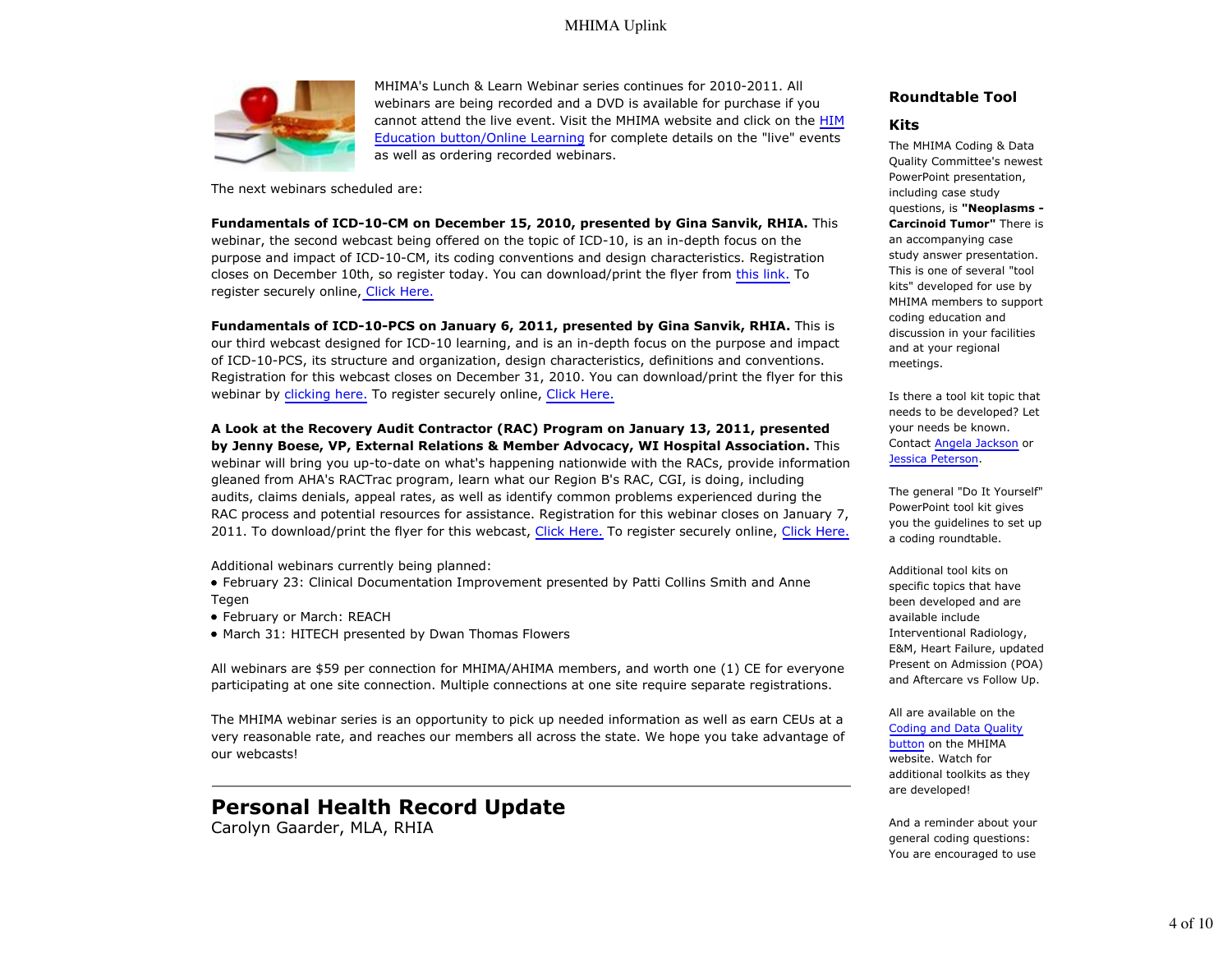

MHIMA's Lunch & Learn Webinar series continues for 2010-2011. All webinars are being recorded and a DVD is available for purchase if you cannot attend the live event. Visit the MHIMA website and click on the HIM Education button/Online Learning for complete details on the "live" events as well as ordering recorded webinars.

The next webinars scheduled are:

**Fundamentals of ICD-10-CM on December 15, 2010, presented by Gina Sanvik, RHIA.** This webinar, the second webcast being offered on the topic of ICD-10, is an in-depth focus on the purpose and impact of ICD-10-CM, its coding conventions and design characteristics. Registration closes on December 10th, so register today. You can download/print the flyer from this link. To register securely online, Click Here.

**Fundamentals of ICD-10-PCS on January 6, 2011, presented by Gina Sanvik, RHIA.** This is our third webcast designed for ICD-10 learning, and is an in-depth focus on the purpose and impact of ICD-10-PCS, its structure and organization, design characteristics, definitions and conventions. Registration for this webcast closes on December 31, 2010. You can download/print the flyer for this webinar by clicking here. To register securely online, Click Here.

**A Look at the Recovery Audit Contractor (RAC) Program on January 13, 2011, presented by Jenny Boese, VP, External Relations & Member Advocacy, WI Hospital Association.** This webinar will bring you up-to-date on what's happening nationwide with the RACs, provide information gleaned from AHA's RACTrac program, learn what our Region B's RAC, CGI, is doing, including audits, claims denials, appeal rates, as well as identify common problems experienced during the RAC process and potential resources for assistance. Registration for this webinar closes on January 7, 2011. To download/print the flyer for this webcast, Click Here. To register securely online, Click Here.

Additional webinars currently being planned:

February 23: Clinical Documentation Improvement presented by Patti Collins Smith and Anne Tegen

- February or March: REACH
- March 31: HITECH presented by Dwan Thomas Flowers

All webinars are \$59 per connection for MHIMA/AHIMA members, and worth one (1) CE for everyone participating at one site connection. Multiple connections at one site require separate registrations.

The MHIMA webinar series is an opportunity to pick up needed information as well as earn CEUs at a very reasonable rate, and reaches our members all across the state. We hope you take advantage of our webcasts!

### **Personal Health Record Update**

Carolyn Gaarder, MLA, RHIA

#### **Roundtable Tool**

#### **Kits**

The MHIMA Coding & Data Quality Committee's newest PowerPoint presentation, including case study questions, is **"Neoplasms - Carcinoid Tumor"** There is an accompanying case study answer presentation. This is one of several "tool kits" developed for use by MHIMA members to support coding education and discussion in your facilities and at your regional meetings.

Is there a tool kit topic that needs to be developed? Let your needs be known. Contact Angela Jackson or Jessica Peterson.

The general "Do It Yourself" PowerPoint tool kit gives you the guidelines to set up a coding roundtable.

Additional tool kits on specific topics that have been developed and are available include Interventional Radiology, E&M, Heart Failure, updated Present on Admission (POA) and Aftercare vs Follow Up.

#### All are available on the

Coding and Data Quality button on the MHIMA website. Watch for additional toolkits as they are developed!

And a reminder about your general coding questions: You are encouraged to use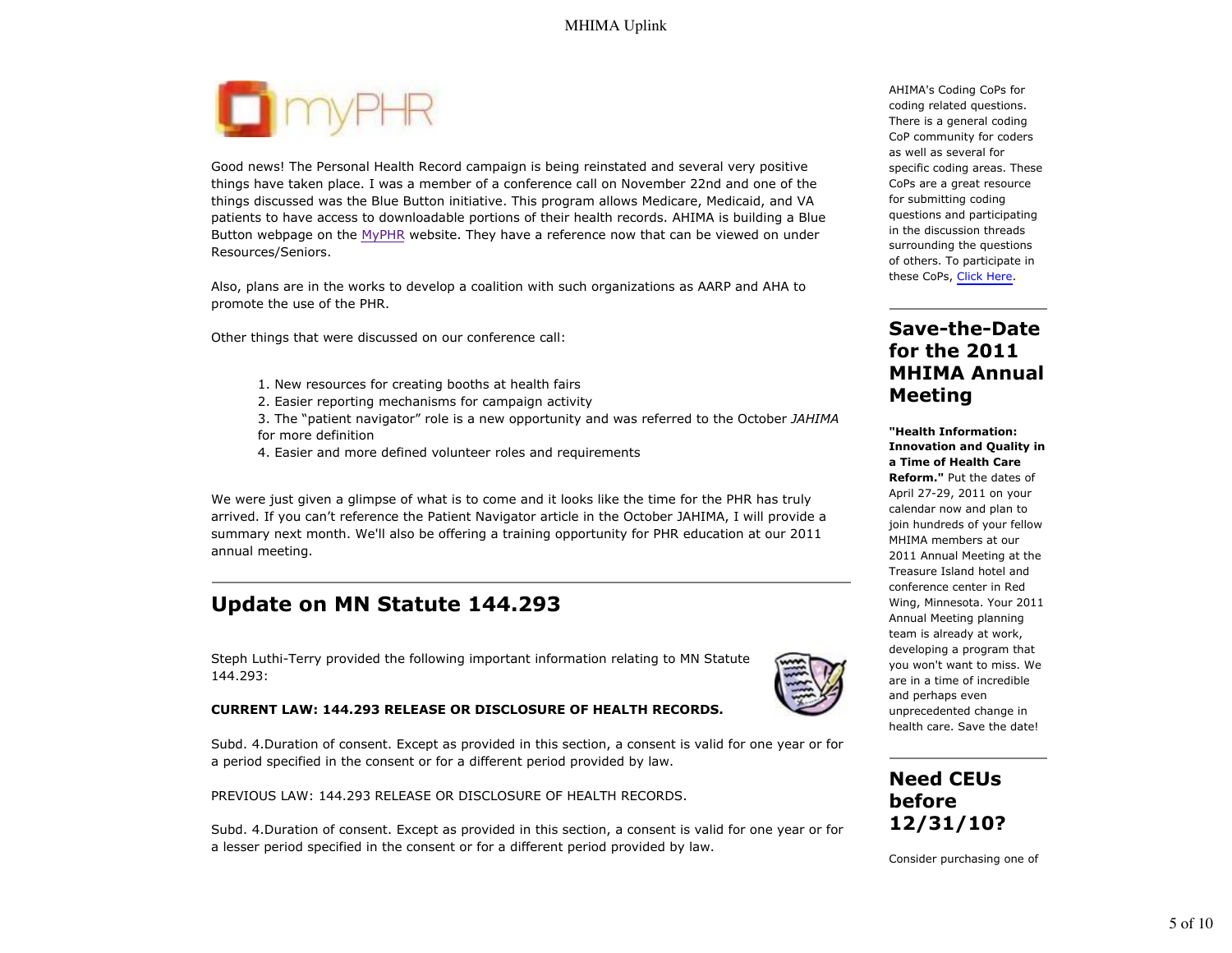

Good news! The Personal Health Record campaign is being reinstated and several very positive things have taken place. I was a member of a conference call on November 22nd and one of the things discussed was the Blue Button initiative. This program allows Medicare, Medicaid, and VA patients to have access to downloadable portions of their health records. AHIMA is building a Blue Button webpage on the MyPHR website. They have a reference now that can be viewed on under Resources/Seniors.

Also, plans are in the works to develop a coalition with such organizations as AARP and AHA to promote the use of the PHR.

Other things that were discussed on our conference call:

- 1. New resources for creating booths at health fairs
- 2. Easier reporting mechanisms for campaign activity
- 3. The "patient navigator" role is a new opportunity and was referred to the October *JAHIMA* for more definition
- 4. Easier and more defined volunteer roles and requirements

We were just given a glimpse of what is to come and it looks like the time for the PHR has truly arrived. If you can't reference the Patient Navigator article in the October JAHIMA, I will provide a summary next month. We'll also be offering a training opportunity for PHR education at our 2011 annual meeting.

## **Update on MN Statute 144.293**

Steph Luthi-Terry provided the following important information relating to MN Statute 144.293:

#### **CURRENT LAW: 144.293 RELEASE OR DISCLOSURE OF HEALTH RECORDS.**

Subd. 4.Duration of consent. Except as provided in this section, a consent is valid for one year or for a period specified in the consent or for a different period provided by law.

PREVIOUS LAW: 144.293 RELEASE OR DISCLOSURE OF HEALTH RECORDS.

Subd. 4.Duration of consent. Except as provided in this section, a consent is valid for one year or for a lesser period specified in the consent or for a different period provided by law.

AHIMA's Coding CoPs for coding related questions. There is a general coding CoP community for coders as well as several for specific coding areas. These CoPs are a great resource for submitting coding questions and participating in the discussion threads surrounding the questions of others. To participate in these CoPs, Click Here.

### **Save-the-Date for the 2011 MHIMA Annual Meeting**

**"Health Information: Innovation and Quality in a Time of Health Care Reform."** Put the dates of April 27-29, 2011 on your calendar now and plan to join hundreds of your fellow MHIMA members at our 2011 Annual Meeting at the Treasure Island hotel and conference center in Red Wing, Minnesota. Your 2011 Annual Meeting planning team is already at work, developing a program that you won't want to miss. We are in a time of incredible and perhaps even unprecedented change in health care. Save the date!

### **Need CEUs before 12/31/10?**

Consider purchasing one of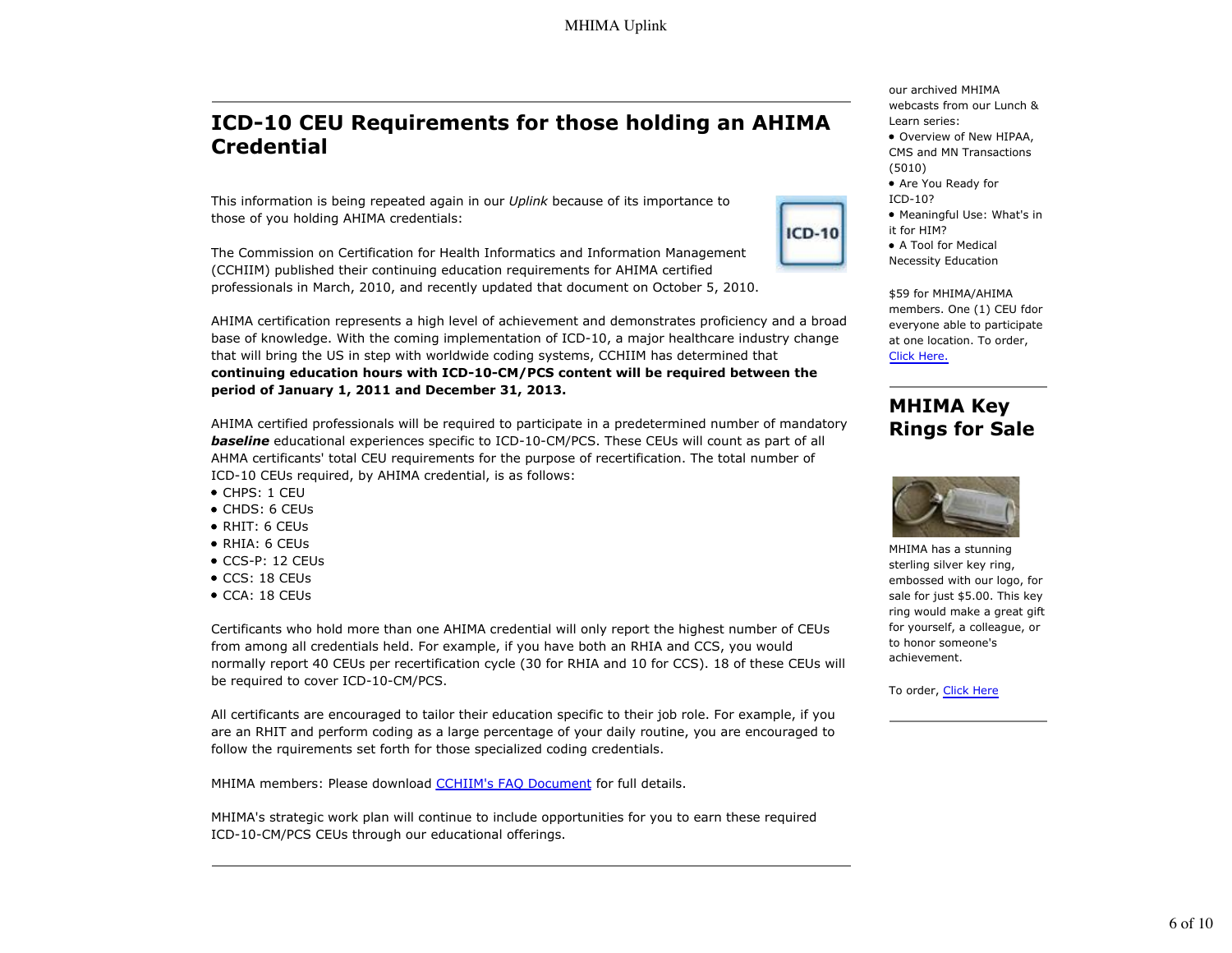## **ICD-10 CEU Requirements for those holding an AHIMA Credential**

This information is being repeated again in our *Uplink* because of its importance to those of you holding AHIMA credentials:

The Commission on Certification for Health Informatics and Information Management (CCHIIM) published their continuing education requirements for AHIMA certified professionals in March, 2010, and recently updated that document on October 5, 2010.



AHIMA certified professionals will be required to participate in a predetermined number of mandatory **baseline** educational experiences specific to ICD-10-CM/PCS. These CEUs will count as part of all AHMA certificants' total CEU requirements for the purpose of recertification. The total number of ICD-10 CEUs required, by AHIMA credential, is as follows:

- CHPS: 1 CEU
- CHDS: 6 CEUs
- RHIT: 6 CEUs
- RHIA: 6 CEUs
- CCS-P: 12 CEUs
- CCS: 18 CEUs
- CCA: 18 CEUs

Certificants who hold more than one AHIMA credential will only report the highest number of CEUs from among all credentials held. For example, if you have both an RHIA and CCS, you would normally report 40 CEUs per recertification cycle (30 for RHIA and 10 for CCS). 18 of these CEUs will be required to cover ICD-10-CM/PCS.

All certificants are encouraged to tailor their education specific to their job role. For example, if you are an RHIT and perform coding as a large percentage of your daily routine, you are encouraged to follow the rquirements set forth for those specialized coding credentials.

MHIMA members: Please download CCHIIM's FAO Document for full details.

MHIMA's strategic work plan will continue to include opportunities for you to earn these required ICD-10-CM/PCS CEUs through our educational offerings.

our archived MHIMA webcasts from our Lunch & Learn series:

- Overview of New HIPAA, CMS and MN Transactions (5010)
- Are You Ready for ICD-10?
- Meaningful Use: What's in it for HIM?
- A Tool for Medical Necessity Education

**ICD-10** 

\$59 for MHIMA/AHIMA members. One (1) CEU fdor everyone able to participate at one location. To order, Click Here.

#### **MHIMA Key Rings for Sale**



MHIMA has a stunning sterling silver key ring, embossed with our logo, for sale for just \$5.00. This key ring would make a great gift for yourself, a colleague, or to honor someone's achievement.

To order, Click Here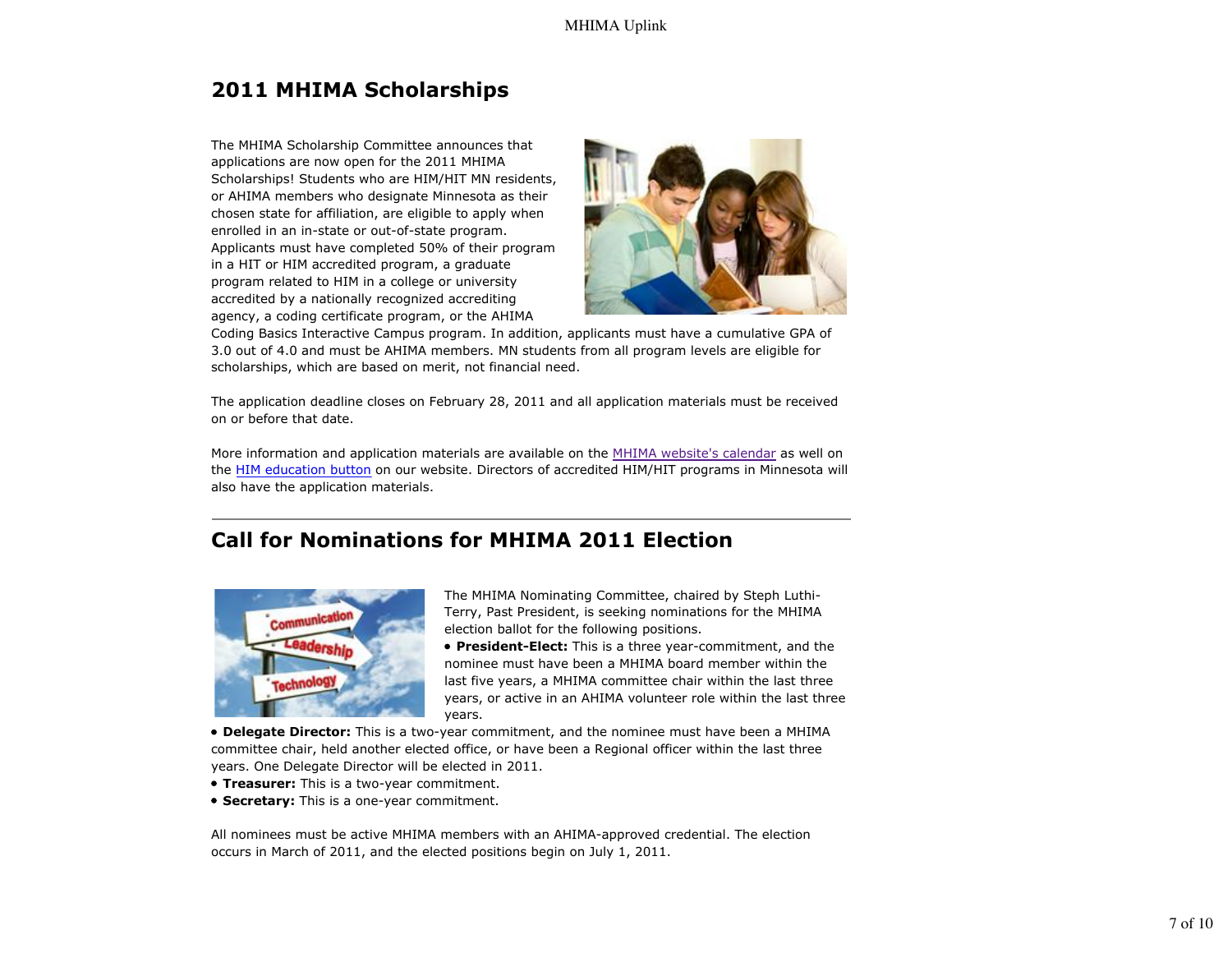# **2011 MHIMA Scholarships**

The MHIMA Scholarship Committee announces that applications are now open for the 2011 MHIMA Scholarships! Students who are HIM/HIT MN residents, or AHIMA members who designate Minnesota as their chosen state for affiliation, are eligible to apply when enrolled in an in-state or out-of-state program. Applicants must have completed 50% of their program in a HIT or HIM accredited program, a graduate program related to HIM in a college or university accredited by a nationally recognized accrediting agency, a coding certificate program, or the AHIMA



Coding Basics Interactive Campus program. In addition, applicants must have a cumulative GPA of 3.0 out of 4.0 and must be AHIMA members. MN students from all program levels are eligible for scholarships, which are based on merit, not financial need.

The application deadline closes on February 28, 2011 and all application materials must be received on or before that date.

More information and application materials are available on the MHIMA website's calendar as well on the HIM education button on our website. Directors of accredited HIM/HIT programs in Minnesota will also have the application materials.

# **Call for Nominations for MHIMA 2011 Election**



The MHIMA Nominating Committee, chaired by Steph Luthi-Terry, Past President, is seeking nominations for the MHIMA election ballot for the following positions.

**President-Elect:** This is a three year-commitment, and the nominee must have been a MHIMA board member within the last five years, a MHIMA committee chair within the last three years, or active in an AHIMA volunteer role within the last three years.

**Delegate Director:** This is a two-year commitment, and the nominee must have been a MHIMA committee chair, held another elected office, or have been a Regional officer within the last three years. One Delegate Director will be elected in 2011.

- **Treasurer:** This is a two-year commitment.
- **Secretary:** This is a one-year commitment.

All nominees must be active MHIMA members with an AHIMA-approved credential. The election occurs in March of 2011, and the elected positions begin on July 1, 2011.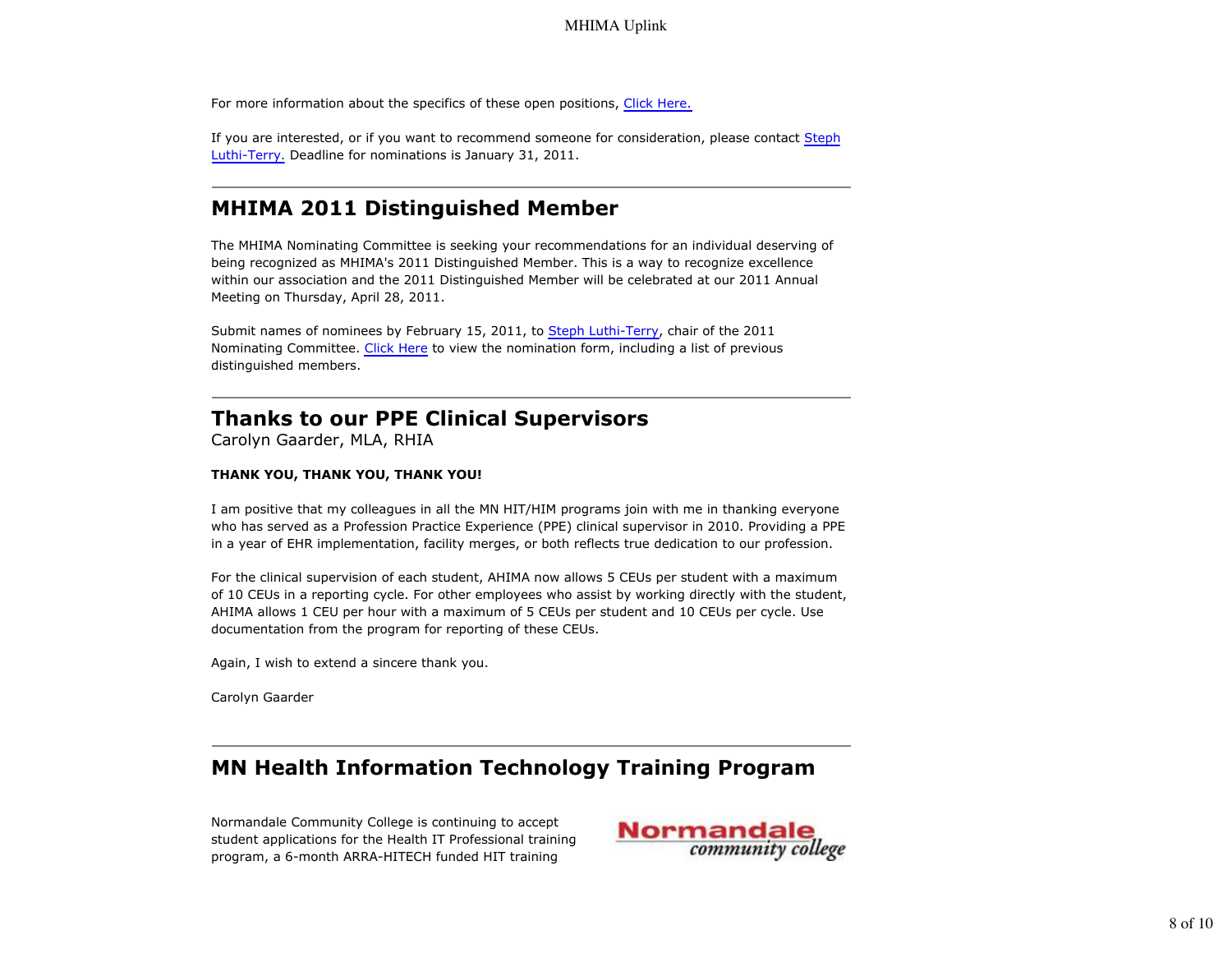For more information about the specifics of these open positions, Click Here.

If you are interested, or if you want to recommend someone for consideration, please contact Steph Luthi-Terry. Deadline for nominations is January 31, 2011.

### **MHIMA 2011 Distinguished Member**

The MHIMA Nominating Committee is seeking your recommendations for an individual deserving of being recognized as MHIMA's 2011 Distinguished Member. This is a way to recognize excellence within our association and the 2011 Distinguished Member will be celebrated at our 2011 Annual Meeting on Thursday, April 28, 2011.

Submit names of nominees by February 15, 2011, to Steph Luthi-Terry, chair of the 2011 Nominating Committee. Click Here to view the nomination form, including a list of previous distinguished members.

## **Thanks to our PPE Clinical Supervisors**

Carolyn Gaarder, MLA, RHIA

#### **THANK YOU, THANK YOU, THANK YOU!**

I am positive that my colleagues in all the MN HIT/HIM programs join with me in thanking everyone who has served as a Profession Practice Experience (PPE) clinical supervisor in 2010. Providing a PPE in a year of EHR implementation, facility merges, or both reflects true dedication to our profession.

For the clinical supervision of each student, AHIMA now allows 5 CEUs per student with a maximum of 10 CEUs in a reporting cycle. For other employees who assist by working directly with the student, AHIMA allows 1 CEU per hour with a maximum of 5 CEUs per student and 10 CEUs per cycle. Use documentation from the program for reporting of these CEUs.

Again, I wish to extend a sincere thank you.

Carolyn Gaarder

### **MN Health Information Technology Training Program**

Normandale Community College is continuing to accept student applications for the Health IT Professional training program, a 6-month ARRA-HITECH funded HIT training

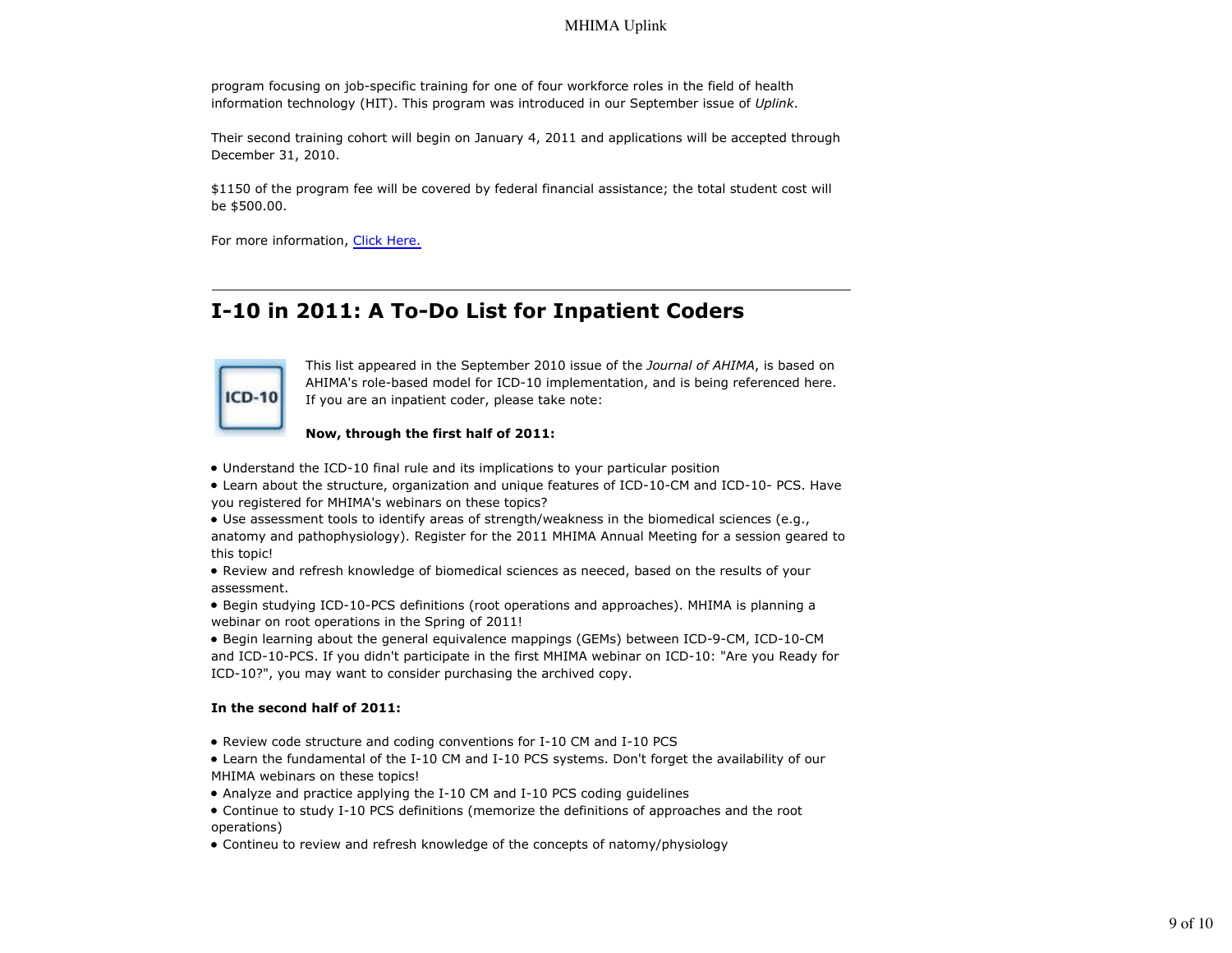program focusing on job-specific training for one of four workforce roles in the field of health information technology (HIT). This program was introduced in our September issue of *Uplink*.

Their second training cohort will begin on January 4, 2011 and applications will be accepted through December 31, 2010.

\$1150 of the program fee will be covered by federal financial assistance; the total student cost will be \$500.00.

For more information, Click Here.

## **I-10 in 2011: A To-Do List for Inpatient Coders**



This list appeared in the September 2010 issue of the *Journal of AHIMA*, is based on AHIMA's role-based model for ICD-10 implementation, and is being referenced here. If you are an inpatient coder, please take note:

#### **Now, through the first half of 2011:**

- Understand the ICD-10 final rule and its implications to your particular position
- Learn about the structure, organization and unique features of ICD-10-CM and ICD-10- PCS. Have you registered for MHIMA's webinars on these topics?
- Use assessment tools to identify areas of strength/weakness in the biomedical sciences (e.g., anatomy and pathophysiology). Register for the 2011 MHIMA Annual Meeting for a session geared to this topic!
- Review and refresh knowledge of biomedical sciences as neeced, based on the results of your assessment.
- Begin studying ICD-10-PCS definitions (root operations and approaches). MHIMA is planning a webinar on root operations in the Spring of 2011!
- Begin learning about the general equivalence mappings (GEMs) between ICD-9-CM, ICD-10-CM and ICD-10-PCS. If you didn't participate in the first MHIMA webinar on ICD-10: "Are you Ready for ICD-10?", you may want to consider purchasing the archived copy.

#### **In the second half of 2011:**

- Review code structure and coding conventions for I-10 CM and I-10 PCS
- Learn the fundamental of the I-10 CM and I-10 PCS systems. Don't forget the availability of our MHIMA webinars on these topics!
- Analyze and practice applying the I-10 CM and I-10 PCS coding guidelines
- Continue to study I-10 PCS definitions (memorize the definitions of approaches and the root operations)
- Contineu to review and refresh knowledge of the concepts of natomy/physiology